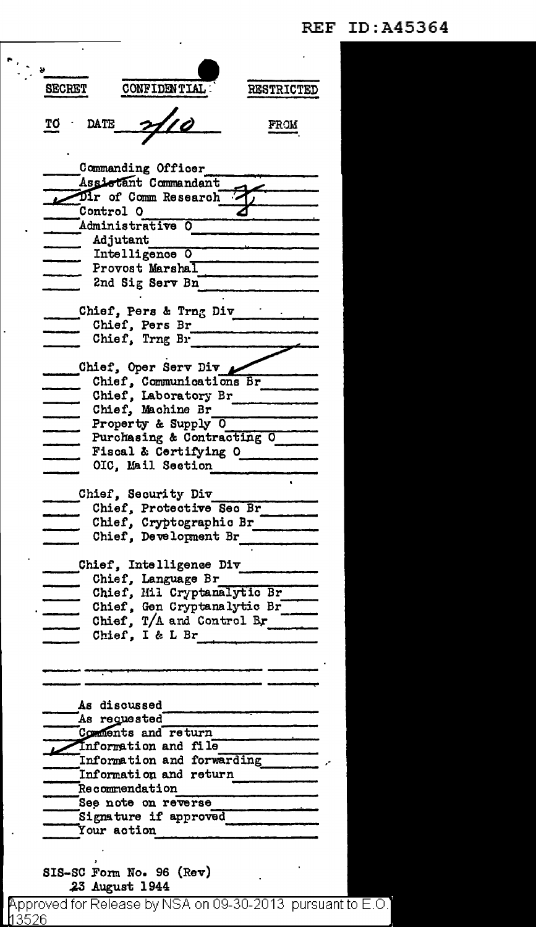## **REF ID:A45364**

| <b>SECRET</b>                                | CONFIDENTIAL.                            | <b>RESTRICTED</b> |
|----------------------------------------------|------------------------------------------|-------------------|
|                                              |                                          |                   |
|                                              |                                          |                   |
| <b>DATE</b>                                  |                                          | FROM              |
|                                              |                                          |                   |
|                                              | Commanding Officer                       |                   |
|                                              | Assistant Commandant                     |                   |
|                                              | Dir of Comm Research                     |                   |
| Control O                                    |                                          |                   |
|                                              | Administrative O                         |                   |
| Adjutant                                     |                                          |                   |
|                                              | Intelligence O                           |                   |
|                                              | Provost Marshal                          |                   |
|                                              | 2nd Sig Serv Bn                          |                   |
|                                              | Chief, Pers & Trng Div                   |                   |
|                                              | Chief, Pers Br                           |                   |
|                                              | Chief, Trng Br                           |                   |
|                                              |                                          |                   |
|                                              | Chief, Oper Serv Div                     |                   |
|                                              | Chief, Communications Br                 |                   |
|                                              | Chief, Laboratory Br                     |                   |
|                                              | Chief, Machine Br<br>Property & Supply 0 |                   |
|                                              | Purchasing & Contracting O               |                   |
|                                              | Fiscal & Certifying O                    |                   |
|                                              | OIC, Mail Section                        |                   |
|                                              |                                          |                   |
|                                              | Chief, Security Div                      |                   |
|                                              | Chief, Protective Sec Br                 |                   |
|                                              | Chief, Cryptographic Br                  |                   |
|                                              | Chief, Development Br                    |                   |
| Chief,<br>Intelligence Div                   |                                          |                   |
|                                              | Chief, Language Br                       |                   |
|                                              | Chief, Mil Cryptanalytic Br              |                   |
|                                              | Chief, Gen Cryptanalytic Br              |                   |
|                                              | Chief, T/A and Control Br                |                   |
|                                              | Chief, I & L Br                          |                   |
|                                              |                                          |                   |
|                                              |                                          |                   |
|                                              |                                          |                   |
|                                              | As discussed                             |                   |
|                                              | As requested                             |                   |
|                                              | Comments and return                      |                   |
|                                              | Information and file                     |                   |
| Information and forwarding Theorem           |                                          |                   |
| Information and return                       |                                          |                   |
| Recommendation                               |                                          |                   |
| See note on reverse<br>Signature if approved |                                          |                   |
|                                              |                                          |                   |
| Your action                                  |                                          | ——————————————    |
|                                              |                                          |                   |
|                                              | SIS-SC Form No. 96 (Rev)                 |                   |
|                                              | 23 August 1944                           |                   |

 $\begin{array}{c} \mathbf{r}_{\mathcal{G},\mathbf{y}} \\ \mathbf{r}_{\mathcal{G},\mathbf{y}} \end{array}$ 

 $\bar{z}$ 

Approved for Release by NSA on 09-30-2013 pursuant to E.O.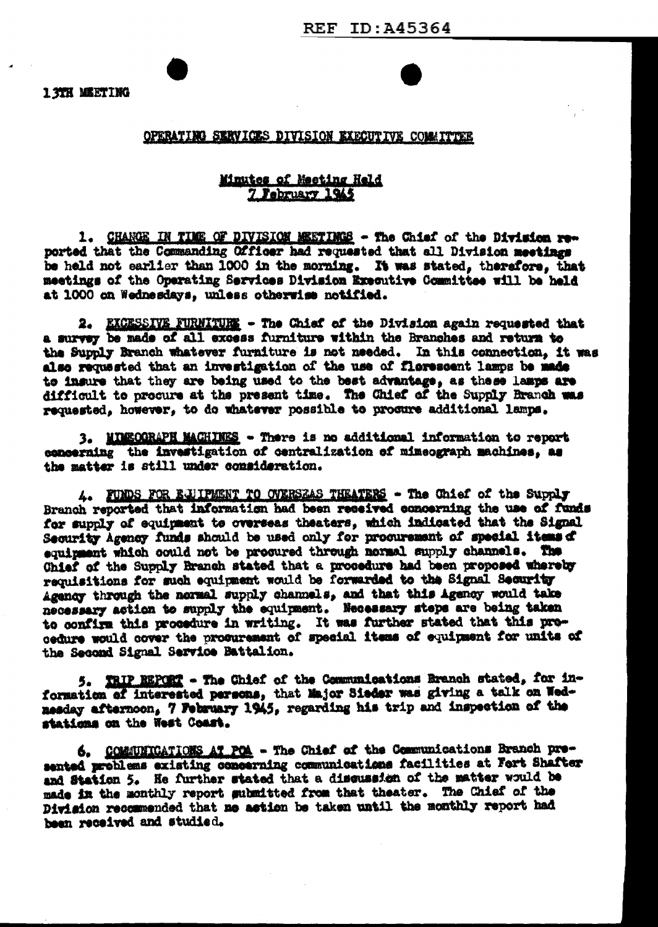## OPERATING SERVICES DIVISION EXECUTIVE COMMITTEE

## Minutes of Meeting Held 7 February 1945

1. CHANGE IN TIME OF DIVISION MEETINGS - The Chief of the Division reported that the Commanding Officer had requested that all Division meetings be held not earlier than 1000 in the morning. It was stated, therefore, that meetings of the Operating Services Division Executive Committee will be held at 1000 on Wednesdays, unless otherwise notified.

2. EXCESSIVE FURNITUES - The Chief of the Division again requested that a survey be made of all excess furniture within the Branches and return to the Supply Branch whatever furniture is not needed. In this connection, it was also requested that an investigation of the use of florescent lamps be made to insure that they are being used to the best advantage, as these lamps are difficult to procure at the present time. The Chief of the Supply Branch was requested, however, to do whatever possible to procure additional lamps.

3. MINECORAPH MACHINES - There is no additional information to report concerning the investigation of centralization of mimeograph machines, as the matter is still under consideration.

4. FUNDS FOR EJUIPMENT TO OVERSEAS THEATERS - The Chief of the Supply Branch reported that information had been received concerning the use of funds for supply of equipment to overseas theaters, which indicated that the Signal Security Agency funds should be used only for procurement of special items of equipment which could not be procured through normal supply channels. The Chief of the Supply Branch stated that a procedure had been proposed whereby requisitions for such equipment would be forwarded to the Signal Security Agency through the normal supply channels, and that this Agency would take necessary action to supply the equipment. Necessary steps are being taken to confirm this procedure in writing. It was further stated that this procedure would cover the procurement of special items of equipment for units of the Second Signal Service Battalion.

5. TRIP REPORT - The Chief of the Communications Branch stated, for information of interested persons, that Major Sieder was giving a talk on Wednesday afternoon, 7 February 1945, regarding his trip and inspection of the stations on the West Coast.

6. COMMINICATIONS AT POA - The Chief of the Communications Branch presented problems existing concerning communications facilities at Fort Shafter and Station 5. He further stated that a discussion of the matter would be made in the monthly report submitted from that theater. The Chief of the Division recommended that me action be taken until the monthly report had been received and studied.